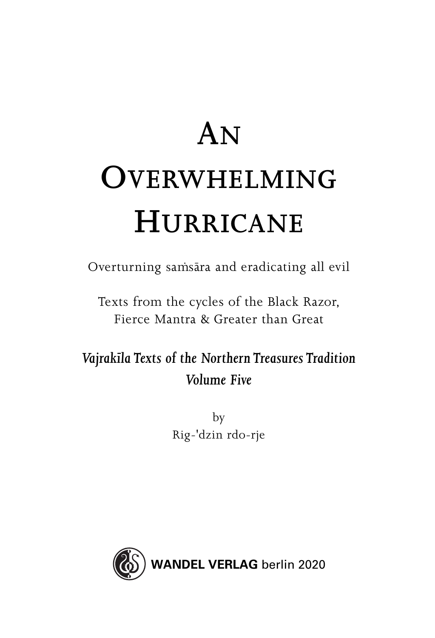## **AN OVERWHELMING HURRICANE**

Overturning samsāra and eradicating all evil

Texts from the cycles of the Black Razor, Fierce Mantra & Greater than Great

*Vajrakıˉ la Texts of the Northern Treasures Tradition Volume Five*

> by Rig-'dzin rdo-rje

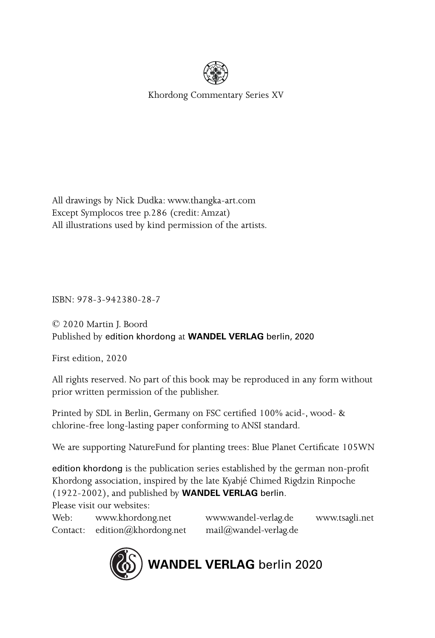

Khordong Commentary Series XV

All drawings by Nick Dudka: www.thangka-art.com Except Symplocos tree p.286 (credit: Amzat) All illustrations used by kind permission of the artists.

ISBN: 978-3-942380-28-7

© 2020 Martin J. Boord Published by edition khordong at **WANDEL VERLAG** berlin, 2020

First edition, 2020

All rights reserved. No part of this book may be reproduced in any form without prior written permission of the publisher.

Printed by SDL in Berlin, Germany on FSC certified 100% acid-, wood- & chlorine-free long-lasting paper conforming to ANSI standard.

We are supporting NatureFund for planting trees: Blue Planet Certificate 105WN

edition khordong is the publication series established by the german non-profit Khordong association, inspired by the late Kyabjé Chimed Rigdzin Rinpoche (1922-2002), and published by **WANDEL VERLAG** berlin.

Please visit our websites:

Contact: edition@khordong.net mail@wandel-verlag.de

Web: www.khordong.net www.wandel-verlag.de www.tsagli.net

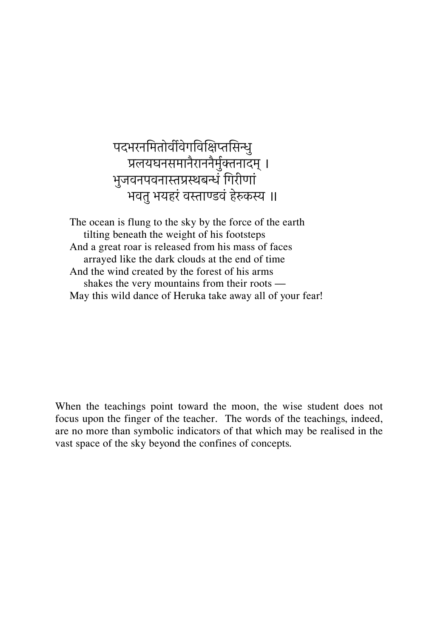पदभरनमितोर्वीवेगविक्षिप्तसिन्धु पलयघनसमानैराननैमुरकनादम्। भुजवनपवनास्तप्रस्थबन्धं गिरीणां भवतु भयहरं वस्ताण्डवं हेरुकस्य ॥

The ocean is flung to the sky by the force of the earth tilting beneath the weight of his footsteps And a great roar is released from his mass of faces arrayed like the dark clouds at the end of time And the wind created by the forest of his arms shakes the very mountains from their roots — May this wild dance of Heruka take away all of your fear!

When the teachings point toward the moon, the wise student does not focus upon the finger of the teacher. The words of the teachings, indeed, are no more than symbolic indicators of that which may be realised in the vast space of the sky beyond the confines of concepts.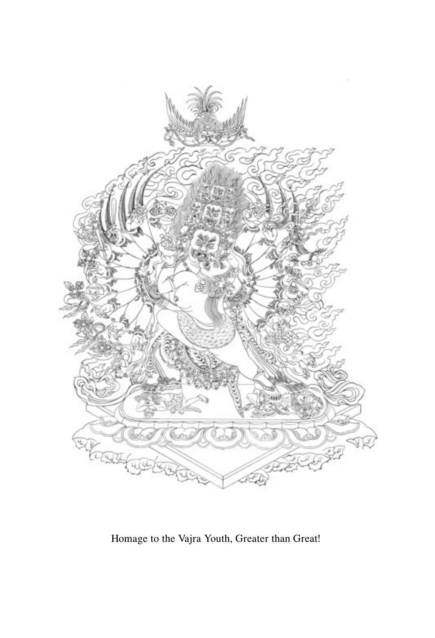

Homage to the Vajra Youth, Greater than Great!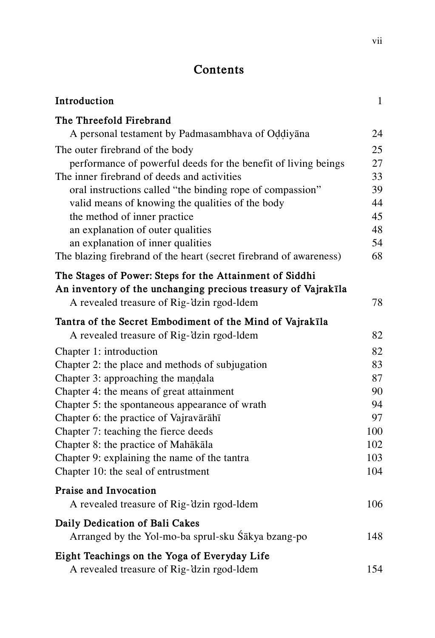## **Contents**

| Introduction                                                                                                                                                           | $\mathbf{1}$ |
|------------------------------------------------------------------------------------------------------------------------------------------------------------------------|--------------|
| The Threefold Firebrand<br>A personal testament by Padmasambhava of Oddiyana                                                                                           | 24           |
| The outer firebrand of the body                                                                                                                                        | 25           |
| performance of powerful deeds for the benefit of living beings                                                                                                         | 27           |
| The inner firebrand of deeds and activities                                                                                                                            | 33           |
| oral instructions called "the binding rope of compassion"                                                                                                              | 39           |
| valid means of knowing the qualities of the body                                                                                                                       | 44           |
| the method of inner practice                                                                                                                                           | 45           |
| an explanation of outer qualities                                                                                                                                      | 48           |
| an explanation of inner qualities<br>The blazing firebrand of the heart (secret firebrand of awareness)                                                                | 54<br>68     |
|                                                                                                                                                                        |              |
| The Stages of Power: Steps for the Attainment of Siddhi<br>An inventory of the unchanging precious treasury of Vajrakīla<br>A revealed treasure of Rig-'dzin rgod-ldem | 78           |
| Tantra of the Secret Embodiment of the Mind of Vajrakīla                                                                                                               |              |
| A revealed treasure of Rig-'dzin rgod-ldem                                                                                                                             | 82           |
| Chapter 1: introduction                                                                                                                                                | 82           |
| Chapter 2: the place and methods of subjugation                                                                                                                        | 83           |
| Chapter 3: approaching the mandala                                                                                                                                     | 87           |
| Chapter 4: the means of great attainment                                                                                                                               | 90           |
| Chapter 5: the spontaneous appearance of wrath                                                                                                                         | 94           |
| Chapter 6: the practice of Vajravārāhī                                                                                                                                 | 97           |
| Chapter 7: teaching the fierce deeds                                                                                                                                   | 100          |
| Chapter 8: the practice of Mahākāla                                                                                                                                    | 102          |
| Chapter 9: explaining the name of the tantra                                                                                                                           | 103          |
| Chapter 10: the seal of entrustment                                                                                                                                    | 104          |
| Praise and Invocation                                                                                                                                                  |              |
| A revealed treasure of Rig-'dzin rgod-ldem                                                                                                                             | 106          |
| Daily Dedication of Bali Cakes                                                                                                                                         |              |
| Arranged by the Yol-mo-ba sprul-sku Śākya bzang-po                                                                                                                     | 148          |
| Eight Teachings on the Yoga of Everyday Life<br>A revealed treasure of Rig-'dzin rgod-ldem                                                                             | 154          |
|                                                                                                                                                                        |              |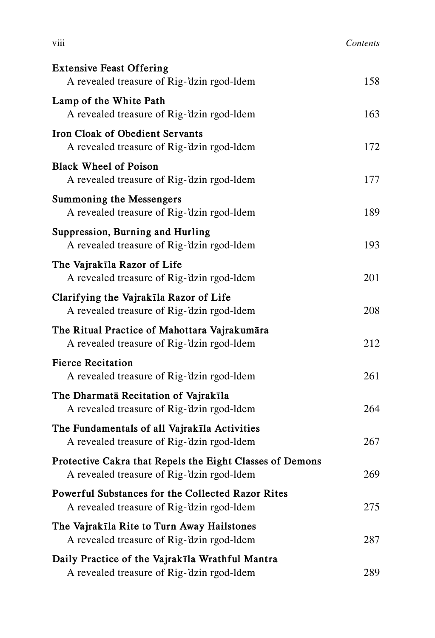| .<br><b>V111</b> | Contents |
|------------------|----------|
|                  |          |

| <b>Extensive Feast Offering</b><br>A revealed treasure of Rig-'dzin rgod-ldem                          | 158 |
|--------------------------------------------------------------------------------------------------------|-----|
| Lamp of the White Path<br>A revealed treasure of Rig-'dzin rgod-ldem                                   | 163 |
| Iron Cloak of Obedient Servants<br>A revealed treasure of Rig-'dzin rgod-ldem                          | 172 |
| <b>Black Wheel of Poison</b><br>A revealed treasure of Rig-'dzin rgod-ldem                             | 177 |
| <b>Summoning the Messengers</b><br>A revealed treasure of Rig-'dzin rgod-ldem                          | 189 |
| Suppression, Burning and Hurling<br>A revealed treasure of Rig-'dzin rgod-ldem                         | 193 |
| The Vajrakīla Razor of Life<br>A revealed treasure of Rig-'dzin rgod-ldem                              | 201 |
| Clarifying the Vajrakīla Razor of Life<br>A revealed treasure of Rig-'dzin rgod-ldem                   | 208 |
| The Ritual Practice of Mahottara Vajrakumāra<br>A revealed treasure of Rig-'dzin rgod-ldem             | 212 |
| <b>Fierce Recitation</b><br>A revealed treasure of Rig-'dzin rgod-ldem                                 | 261 |
| The Dharmatā Recitation of Vajrakīla<br>A revealed treasure of Rig-'dzin rgod-ldem                     | 264 |
| The Fundamentals of all Vajrakīla Activities<br>A revealed treasure of Rig-'dzin rgod-ldem             | 267 |
| Protective Cakra that Repels the Eight Classes of Demons<br>A revealed treasure of Rig-'dzin rgod-ldem | 269 |
| Powerful Substances for the Collected Razor Rites<br>A revealed treasure of Rig-'dzin rgod-ldem        | 275 |
| The Vajrakīla Rite to Turn Away Hailstones<br>A revealed treasure of Rig-'dzin rgod-ldem               | 287 |
| Daily Practice of the Vajrakīla Wrathful Mantra<br>A revealed treasure of Rig-'dzin rgod-ldem          | 289 |
|                                                                                                        |     |